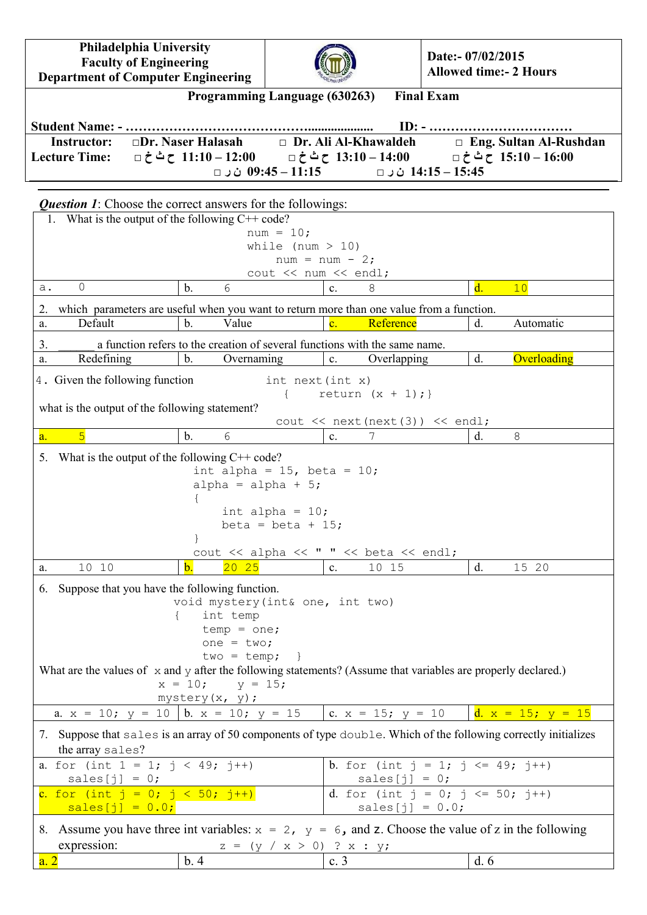**Philadelphia University Faculty of Engineering Department of Computer Engineering**



**Date:- 07/02/2015 Allowed time:- 2 Hours**

|                                  |                                                                   | Programming Language (630263) | <b>Final Exam</b>                          |                               |
|----------------------------------|-------------------------------------------------------------------|-------------------------------|--------------------------------------------|-------------------------------|
|                                  |                                                                   |                               |                                            |                               |
| <b>Instructor:</b>               | $\Box$ Dr. Naser Halasah                                          |                               | $\Box$ Dr. Ali Al-Khawaldeh                | $\Box$ Eng. Sultan Al-Rushdan |
|                                  |                                                                   |                               | 14:15 – 14:15 ن ل □ ال 09:45 – 11:15 ث ل □ |                               |
|                                  | <b>Question 1:</b> Choose the correct answers for the followings: |                               |                                            |                               |
|                                  | 1. What is the output of the following $C++code$ ?                |                               |                                            |                               |
|                                  |                                                                   | $num = 10;$                   |                                            |                               |
| while (num $> 10$ )              |                                                                   |                               |                                            |                               |
| $num = num - 2;$                 |                                                                   |                               |                                            |                               |
| $\cot \lt \lt \tan \lt \lt \end$ |                                                                   |                               |                                            |                               |
| $\cap$                           | $\blacksquare$<br>$\sim$                                          |                               |                                            | $\blacksquare$<br>$\sim$      |

| $\overline{0}$<br>a.                                                                                                                | $\mathbf{b}$ .                                                                                                                | 6                                                                          | C <sub>1</sub> | 8                                                     | $\mathbf{d}$ . | 10                     |
|-------------------------------------------------------------------------------------------------------------------------------------|-------------------------------------------------------------------------------------------------------------------------------|----------------------------------------------------------------------------|----------------|-------------------------------------------------------|----------------|------------------------|
| which parameters are useful when you want to return more than one value from a function.<br>2.                                      |                                                                                                                               |                                                                            |                |                                                       |                |                        |
| Default<br>a.                                                                                                                       | $\mathbf{b}$ .                                                                                                                | Value                                                                      | $\mathbf{c}$ . | Reference                                             | d.             | Automatic              |
| 3.                                                                                                                                  |                                                                                                                               | a function refers to the creation of several functions with the same name. |                |                                                       |                |                        |
| Redefining<br>a.                                                                                                                    | $\mathbf b$ .                                                                                                                 | Overnaming                                                                 | c.             | Overlapping                                           | d.             | Overloading            |
| 4. Given the following function                                                                                                     |                                                                                                                               | int next(int x)                                                            |                |                                                       |                |                        |
|                                                                                                                                     |                                                                                                                               |                                                                            |                | return $(x + 1);$                                     |                |                        |
| what is the output of the following statement?                                                                                      |                                                                                                                               |                                                                            |                |                                                       |                |                        |
| $\overline{5}$<br>a <sub>1</sub>                                                                                                    | $\mathbf b$ .                                                                                                                 | 6                                                                          | $\mathbf{c}$ . | cout $\lt$ next (next (3)) $\lt$ endl;<br>7           | d.             | 8                      |
|                                                                                                                                     |                                                                                                                               |                                                                            |                |                                                       |                |                        |
| What is the output of the following $C++code$ :<br>5.                                                                               |                                                                                                                               | int alpha = $15$ , beta = $10$ ;                                           |                |                                                       |                |                        |
|                                                                                                                                     |                                                                                                                               | alpha = alpha + $5$ ;                                                      |                |                                                       |                |                        |
|                                                                                                                                     |                                                                                                                               |                                                                            |                |                                                       |                |                        |
|                                                                                                                                     |                                                                                                                               | int alpha = $10$ ;<br>beta = beta + 15;                                    |                |                                                       |                |                        |
|                                                                                                                                     |                                                                                                                               |                                                                            |                |                                                       |                |                        |
|                                                                                                                                     |                                                                                                                               | cout << alpha << " " << beta << endl;                                      |                |                                                       |                |                        |
| 10 10<br>a.                                                                                                                         | $\mathbf{b}$ .                                                                                                                | $20\quad25$                                                                | C <sub>1</sub> | 10 15                                                 | d.             | 15 20                  |
| Suppose that you have the following function.<br>6.                                                                                 |                                                                                                                               |                                                                            |                |                                                       |                |                        |
|                                                                                                                                     |                                                                                                                               | void mystery (int& one, int two)                                           |                |                                                       |                |                        |
|                                                                                                                                     |                                                                                                                               | int temp                                                                   |                |                                                       |                |                        |
|                                                                                                                                     | $temp = one;$<br>one = $two;$                                                                                                 |                                                                            |                |                                                       |                |                        |
|                                                                                                                                     |                                                                                                                               | $two = temp;$                                                              |                |                                                       |                |                        |
|                                                                                                                                     | What are the values of $\bar{x}$ and $\bar{y}$ after the following statements? (Assume that variables are properly declared.) |                                                                            |                |                                                       |                |                        |
| $x = 10;$ $y = 15;$<br>mystery (x, y) ;                                                                                             |                                                                                                                               |                                                                            |                |                                                       |                |                        |
| a. $x = 10$ ; $y = 10$   b. $x = 10$ ; $y = 15$                                                                                     |                                                                                                                               |                                                                            |                | c. $x = 15$ ; $y = 10$                                |                | d. $x = 15$ ; $y = 15$ |
|                                                                                                                                     |                                                                                                                               |                                                                            |                |                                                       |                |                        |
| 7. Suppose that sales is an array of 50 components of type double. Which of the following correctly initializes<br>the array sales? |                                                                                                                               |                                                                            |                |                                                       |                |                        |
| a. for (int $1 = 1$ ; $j < 49$ ; $j^{++}$ )                                                                                         |                                                                                                                               |                                                                            |                | <b>b</b> . for (int $j = 1$ ; $j \le 49$ ; $j^{++}$ ) |                |                        |
| sales $[j] = 0;$                                                                                                                    |                                                                                                                               |                                                                            |                | sales $[j] = 0;$                                      |                |                        |
| c. for (int $j = 0$ ; $j < 50$ ; $j^{++}$ )                                                                                         |                                                                                                                               |                                                                            |                | d. for (int $j = 0$ ; $j \le 50$ ; $j++)$             |                |                        |
| $sales[j] = 0.0;$                                                                                                                   |                                                                                                                               |                                                                            |                | sales $[j] = 0.0;$                                    |                |                        |
| 8. Assume you have three int variables: $x = 2$ , $y = 6$ , and z. Choose the value of z in the following                           |                                                                                                                               |                                                                            |                |                                                       |                |                        |
| expression:                                                                                                                         |                                                                                                                               | $z = (y / x > 0) ? x : y;$                                                 |                |                                                       |                |                        |

| <b>CADICOORT.</b> | . . | .                        |  |
|-------------------|-----|--------------------------|--|
| a.                |     | $\overline{\phantom{a}}$ |  |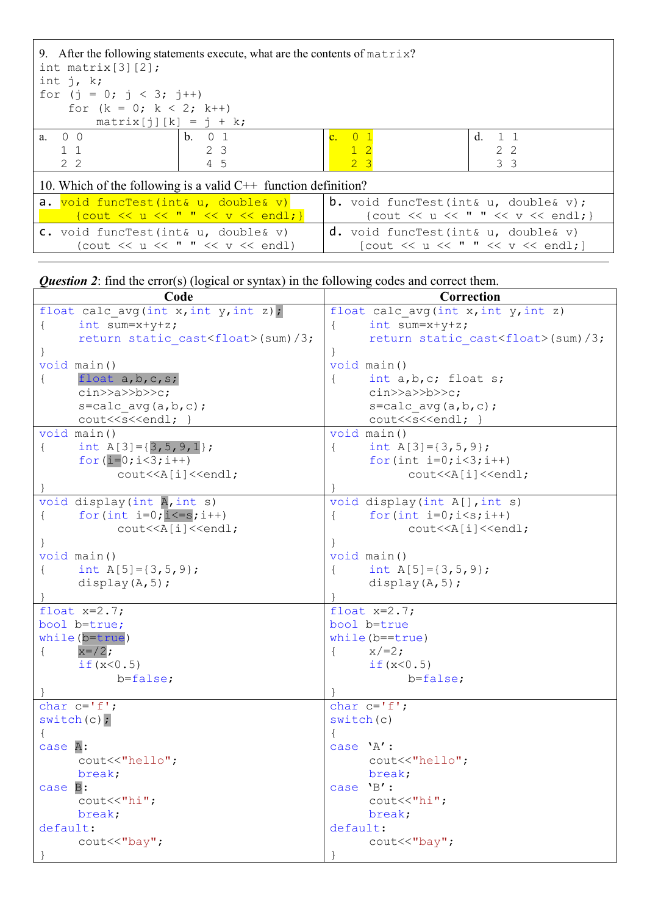| int matrix $[3][2]$ ;<br>int $j$ , k;<br>for $(j = 0; j < 3; j++)$ | 9. After the following statements execute, what are the contents of $matrix?$ |                |                                                                                                       |  |                                   |
|--------------------------------------------------------------------|-------------------------------------------------------------------------------|----------------|-------------------------------------------------------------------------------------------------------|--|-----------------------------------|
| for $(k = 0; k < 2; k++)$                                          |                                                                               |                |                                                                                                       |  |                                   |
| $matrix[j][k] = j + k;$                                            |                                                                               |                |                                                                                                       |  |                                   |
| $a \quad 0 \quad 0$                                                | $b \quad 0 \quad 1$                                                           | c. 0 1         |                                                                                                       |  | $d \quad 1 \quad 1$               |
| $1\quad1$                                                          | 2 3                                                                           | $1\quad2$      |                                                                                                       |  | 2.2                               |
| 2 <sub>2</sub>                                                     | 4 5                                                                           | 2 <sup>3</sup> |                                                                                                       |  | 3 <sup>3</sup>                    |
| 10. Which of the following is a valid $C++$ function definition?   |                                                                               |                |                                                                                                       |  |                                   |
| a. void funcTest(int& u, double& v)                                |                                                                               |                | <b>b.</b> void funcTest(int& $u$ , double& $v$ );                                                     |  |                                   |
|                                                                    | $\{$ cout $<<$ u $<<$ " " $<<$ v $<<$ endl; }                                 |                |                                                                                                       |  | {cout << u << " " << v << endl; } |
| C. void funcTest(int& u, double& v)                                | (cout $\ll$ u $\ll$ " " $\ll$ v $\ll$ endl)                                   |                | $d.$ void funcTest(int& u, double& v)<br>[cout $\lt\lt u \lt\lt'$ " " $\lt\lt v \lt\end{math}$ endl;] |  |                                   |

*Question 2*: find the error(s) (logical or syntax) in the following codes and correct them.

| Code                                                                                          | Correction                                       |
|-----------------------------------------------------------------------------------------------|--------------------------------------------------|
| float calc avg(int x, int y, int z);                                                          | float calc avg (int x, int y, int z)             |
| int sum= $x+y+z$ ;<br>$\left\{ \right.$                                                       | int sum= $x+y+z$ ;<br>$\left\{ \right.$          |
| return static cast <float>(sum)/3;</float>                                                    | return static cast <float>(sum)/3;</float>       |
|                                                                                               |                                                  |
| void main ()                                                                                  | void main ()                                     |
| float $a, b, c, s$ ;<br>$\{$                                                                  | int a, b, c; float s;                            |
| $\text{cin} \text{>a} \text{>bb} \text{>c};$                                                  | $\text{cin} \text{>a} \text{>bb} \text{>c};$     |
| $s = calc \, avg(a, b, c)$ ;                                                                  | $s = calc \, avg(a, b, c)$ ;                     |
| cout< <s<<endl; td="" }<=""><td>cout&lt;<s<<endl; td="" }<=""></s<<endl;></td></s<<endl;>     | cout< <s<<endl; td="" }<=""></s<<endl;>          |
| void main()                                                                                   | void main ()                                     |
| int $A[3]=\{3,5,9,1\}$ ;<br>$\{$                                                              | int A[3]= $\{3, 5, 9\}$ ;<br>$\{$                |
| for $(i=0; i<3; i++)$                                                                         | for $(int i=0; i<3; i++)$                        |
| cout< <a[i]<<endl;< td=""><td>cout&lt;<a[i]<<endl;< td=""></a[i]<<endl;<></td></a[i]<<endl;<> | cout< <a[i]<<endl;< td=""></a[i]<<endl;<>        |
|                                                                                               |                                                  |
| void display (int A, int s)                                                                   | void display(int A[], int s)                     |
| for $(int i=0; i<=s; i++)$<br>$\{$                                                            | for $(int i=0; i < s; i++)$<br>$\left\{ \right.$ |
| cout< <a[i]<<endl;< td=""><td>cout&lt;<a[i]<<endl;< td=""></a[i]<<endl;<></td></a[i]<<endl;<> | cout< <a[i]<<endl;< td=""></a[i]<<endl;<>        |
|                                                                                               |                                                  |
| void main()                                                                                   | void main ()                                     |
| int $A[5] = \{3, 5, 9\}$ ;<br>$\{$                                                            | int $A[5] = \{3, 5, 9\}$ ;                       |
| display $(A, 5)$ ;                                                                            | display $(A, 5)$ ;                               |
|                                                                                               |                                                  |
| float $x=2.7$ ;                                                                               | float $x=2.7$ ;                                  |
| bool b=true;                                                                                  | bool b=true                                      |
| while (b=true)                                                                                | while $(b=true)$                                 |
| $x=$ / 2;<br>$\{$                                                                             | $x/ = 2;$<br>$\{$                                |
| if $(x < 0.5)$                                                                                | if $(x < 0.5)$                                   |
| $b = false;$                                                                                  | b=false;                                         |
|                                                                                               |                                                  |
| char $c='f'$ ;                                                                                | char $c='f'$ ;                                   |
| switch(c);                                                                                    | switch(c)                                        |
| $\{$                                                                                          |                                                  |
| case A:                                                                                       | case 'A' :                                       |
| cout<<"hello";                                                                                | cout<<"hello";                                   |
| break;                                                                                        | break;                                           |
| case B:                                                                                       | case 'B':                                        |
| $\text{cout} \ll \text{"hi";}$                                                                | $\text{cout} \ll \text{"hi"}$ ;                  |
| break;                                                                                        | break;                                           |
| default:                                                                                      | default:                                         |
| cout<<"bay";                                                                                  | cout<<"bay";                                     |
|                                                                                               |                                                  |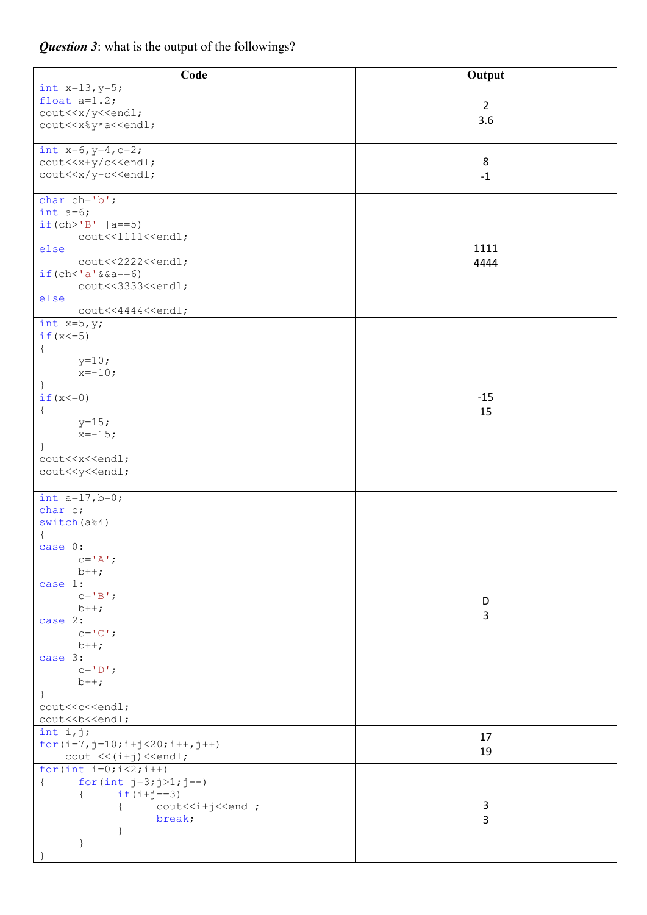| Code                                                                           | Output         |
|--------------------------------------------------------------------------------|----------------|
| int $x=13, y=5;$                                                               |                |
| float $a=1.2$ ;                                                                | $\overline{2}$ |
| cout< <x td="" y<<endl;<=""><td></td></x>                                      |                |
| cout< <x%y*a<<endl;< td=""><td>3.6</td></x%y*a<<endl;<>                        | 3.6            |
|                                                                                |                |
| int $x=6$ , $y=4$ , $c=2$ ;                                                    |                |
| cout< <x+y c<<endl;<="" td=""><td>8</td></x+y>                                 | 8              |
| cout< <x td="" y-c<<endl;<=""><td><math>-1</math></td></x>                     | $-1$           |
|                                                                                |                |
| char $ch='b'$ ;                                                                |                |
| int $a=6$ ;<br>$if (ch > 'B'    a == 5)$                                       |                |
| cout<<1111< <endl;< td=""><td></td></endl;<>                                   |                |
| else                                                                           | 1111           |
| cout<<2222< <endl;< td=""><td>4444</td></endl;<>                               | 4444           |
| $if (ch < 'a' \& a == 6)$                                                      |                |
| cout<<3333< <endl;< td=""><td></td></endl;<>                                   |                |
| else                                                                           |                |
| cout<<4444< <endl;< td=""><td></td></endl;<>                                   |                |
| int $x=5, y;$                                                                  |                |
| if $(x < = 5)$                                                                 |                |
| $\{$                                                                           |                |
| $y=10;$                                                                        |                |
| $x=-10;$                                                                       |                |
| $\cdot$                                                                        |                |
| $if(x<=0)$                                                                     | $-15$          |
| $\{$<br>$y=15;$                                                                | 15             |
| $x=-15;$                                                                       |                |
| $\}$                                                                           |                |
| cout< <x<<endl;< td=""><td></td></x<<endl;<>                                   |                |
| cout< <y<<endl;< td=""><td></td></y<<endl;<>                                   |                |
|                                                                                |                |
| int $a=17, b=0;$                                                               |                |
| char c;                                                                        |                |
| switch(a <sup>84</sup> )                                                       |                |
| $\{$                                                                           |                |
| case 0:                                                                        |                |
| $c = \mathsf{A}$ ,                                                             |                |
| $b++;$                                                                         |                |
| case 1:<br>$c = 'B'$ ;                                                         |                |
| $b++;$                                                                         | D              |
| case 2:                                                                        | 3              |
| $C = \n\begin{bmatrix} C \\ 1 \end{bmatrix}$ ;                                 |                |
| $b++;$                                                                         |                |
| case 3:                                                                        |                |
| $c = 'D'$ ;                                                                    |                |
| $b++;$                                                                         |                |
| $\}$                                                                           |                |
| cout< <c<<endl;< td=""><td></td></c<<endl;<>                                   |                |
| cout< <b<<<endl;< td=""><td></td></b<<<endl;<>                                 |                |
| int i,j;                                                                       | 17             |
| for $(i=7, j=10; i+j<20; i++, j++)$<br>$\text{cut} \ll (i+j) \ll \text{end}$ ; | 19             |
| for $(int i=0; i<2; i++)$                                                      |                |
| for $(int j=3; j>1; j--)$<br>$\left\{ \right.$                                 |                |
| $if(i+j==3)$<br>$\left\{ \right.$                                              |                |
| cout< <i+j<<endl;<br><math>\left\{ \right.</math></i+j<<endl;<br>              | 3              |
| break;                                                                         | 3              |
| $\}$                                                                           |                |
| $\}$                                                                           |                |
|                                                                                |                |

## *Question 3*: what is the output of the followings?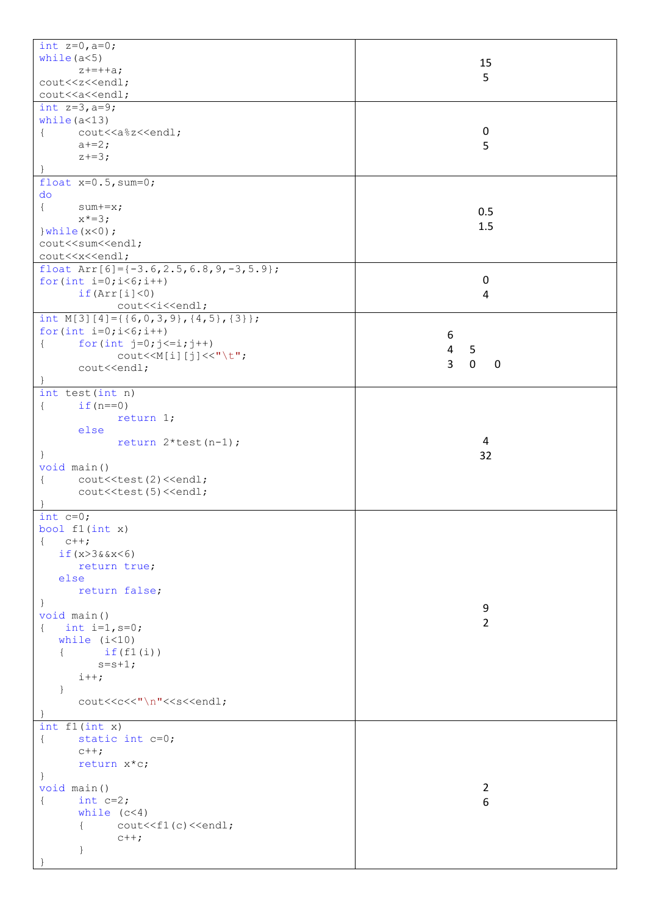| int $z=0$ , $a=0$ ;                                                                                                   |                                              |
|-----------------------------------------------------------------------------------------------------------------------|----------------------------------------------|
| while $(a<5)$                                                                                                         |                                              |
|                                                                                                                       | 15                                           |
| $z+=++a;$                                                                                                             | 5                                            |
| cout< <z<<endl;< td=""><td></td></z<<endl;<>                                                                          |                                              |
| cout< <a<<endl;< td=""><td></td></a<<endl;<>                                                                          |                                              |
|                                                                                                                       |                                              |
| int $z=3$ , $a=9$ ;                                                                                                   |                                              |
| while $(a<13)$                                                                                                        |                                              |
| cout< <a%z<<endl;<br><math>\{</math></a%z<<endl;<br>                                                                  | $\mathbf 0$                                  |
|                                                                                                                       |                                              |
| $a+=2;$                                                                                                               | 5                                            |
| $z+=3;$                                                                                                               |                                              |
|                                                                                                                       |                                              |
| float $x=0.5$ , sum=0;                                                                                                |                                              |
|                                                                                                                       |                                              |
| do                                                                                                                    |                                              |
| $\{$<br>$sum+ = x;$                                                                                                   |                                              |
| $x^* = 3;$                                                                                                            | 0.5                                          |
|                                                                                                                       | 1.5                                          |
| $\}$ while $(x<0)$ ;                                                                                                  |                                              |
| cout< <sum<<endl;< td=""><td></td></sum<<endl;<>                                                                      |                                              |
| cout< <x<<endl;< td=""><td></td></x<<endl;<>                                                                          |                                              |
|                                                                                                                       |                                              |
| float $Arr[6]={-3.6, 2.5, 6.8, 9, -3, 5.9};$                                                                          |                                              |
| for $(int i=0; i<6; i++)$                                                                                             | $\mathbf 0$                                  |
| if(Arr[i]<0)                                                                                                          | 4                                            |
|                                                                                                                       |                                              |
| cout< <i<<endl;< td=""><td></td></i<<endl;<>                                                                          |                                              |
| int M[3][4]={{6,0,3,9},{4,5},{3}};                                                                                    |                                              |
| for $(int i=0; i<6; i++)$                                                                                             |                                              |
|                                                                                                                       | 6                                            |
| for $(int j=0; j<=i; j++)$<br>$\{$                                                                                    | 5<br>$\overline{4}$                          |
| $\text{count} \leq \text{M[i][j]} \leq \text{''t}$                                                                    |                                              |
| cout< <endl;< td=""><td><math>\overline{3}</math><br/><math>\mathbf 0</math><br/><math>\mathbf 0</math></td></endl;<> | $\overline{3}$<br>$\mathbf 0$<br>$\mathbf 0$ |
|                                                                                                                       |                                              |
|                                                                                                                       |                                              |
| int test (int n)                                                                                                      |                                              |
| if $(n == 0)$<br>$\{$                                                                                                 |                                              |
| return 1;                                                                                                             |                                              |
|                                                                                                                       |                                              |
| else                                                                                                                  |                                              |
| return $2*test(n-1)$ ;                                                                                                | 4                                            |
| $\}$                                                                                                                  | 32                                           |
|                                                                                                                       |                                              |
|                                                                                                                       |                                              |
| void main ()                                                                                                          |                                              |
|                                                                                                                       |                                              |
| cout< <test(2)<<endl;<br><math>\{</math></test(2)<<endl;<br>                                                          |                                              |
| cout< <test(5)<<endl;< td=""><td></td></test(5)<<endl;<>                                                              |                                              |
|                                                                                                                       |                                              |
| int $c=0$ ;                                                                                                           |                                              |
|                                                                                                                       |                                              |
| bool $f1(int x)$                                                                                                      |                                              |
| $\left\{ \right.$<br>$C++;$                                                                                           |                                              |
| if $(x>3&8x<6)$                                                                                                       |                                              |
| return true;                                                                                                          |                                              |
|                                                                                                                       |                                              |
| else                                                                                                                  |                                              |
| return false;                                                                                                         |                                              |
| $\overline{ }$                                                                                                        |                                              |
| void main()                                                                                                           | 9                                            |
|                                                                                                                       | $\overline{2}$                               |
| int $i=1, s=0;$<br>$\left\{ \right.$                                                                                  |                                              |
| while $(i<10)$                                                                                                        |                                              |
| $\left\{ \right.$                                                                                                     |                                              |
| if(f1(i))                                                                                                             |                                              |
| $s = s + 1;$                                                                                                          |                                              |
| $i++;$                                                                                                                |                                              |
| $\mathcal{F}$                                                                                                         |                                              |
|                                                                                                                       |                                              |
| cout< <c<<"\n"<<s<<endl;< td=""><td></td></c<<"\n"<<s<<endl;<>                                                        |                                              |
|                                                                                                                       |                                              |
| int f1(int x)                                                                                                         |                                              |
| static int c=0;<br>$\{$                                                                                               |                                              |
|                                                                                                                       |                                              |
| $c++;$                                                                                                                |                                              |
| return x*c;                                                                                                           |                                              |
| $\mathcal{L}$                                                                                                         |                                              |
|                                                                                                                       | $\overline{2}$                               |
| void main ()                                                                                                          |                                              |
| int $c=2$ ;<br>$\{$                                                                                                   | 6                                            |
| while $(c<4)$                                                                                                         |                                              |
| ſ                                                                                                                     |                                              |
| $\text{cout} \leq \text{f1(c)} \leq \text{end1}$ ;                                                                    |                                              |
| $c++;$                                                                                                                |                                              |
| $\left\{ \right\}$                                                                                                    |                                              |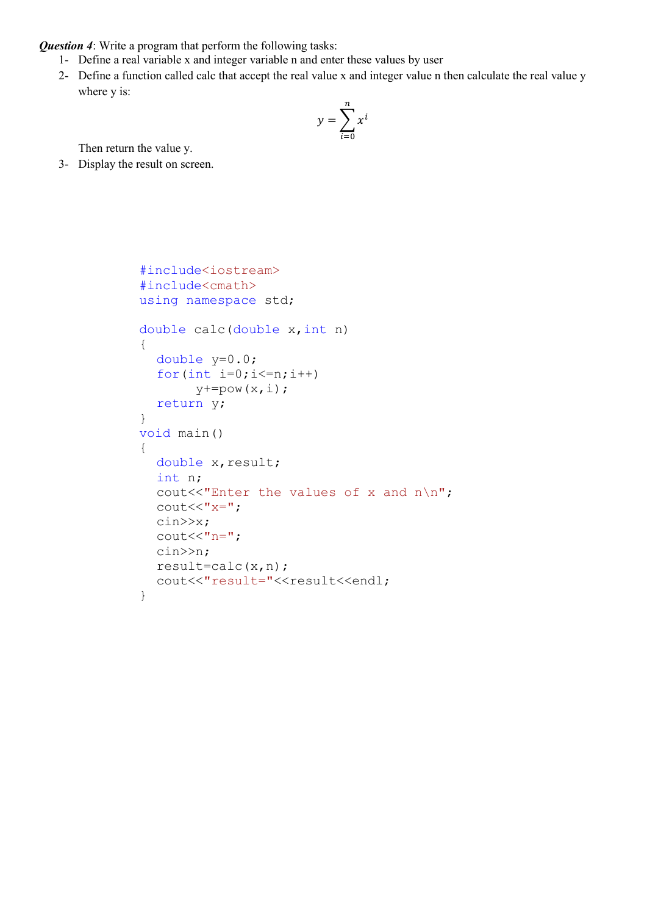*Question 4*: Write a program that perform the following tasks:

- 1- Define a real variable x and integer variable n and enter these values by user
- 2- Define a function called calc that accept the real value x and integer value n then calculate the real value y where y is:

$$
y = \sum_{i=0}^{n} x^{i}
$$

Then return the value y.

3- Display the result on screen.

```
#include<iostream>
#include<cmath>
using namespace std;
double calc(double x,int n)
{
  double y=0.0;
  for(int i=0; i<=n; i++)y+=pow(x,i);return y;
}
void main()
{
  double x, result;
  int n;
  cout<<"Enter the values of x and n\n";
  \text{cout}<<"\text{x}=";
  cin>>x;
  \text{cout}<<"n=";cin>>n;
  result=calc(x,n);
  cout<<"result="<<result<<endl;
}
```